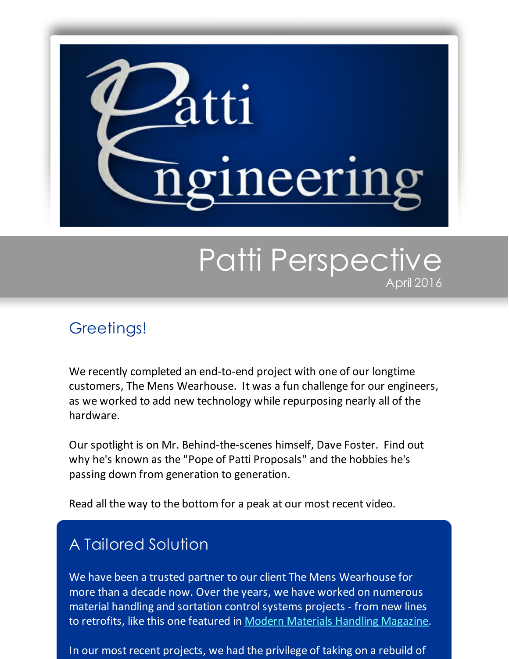

# Patti Perspective April 2016

#### Greetings!

We recently completed an end-to-end project with one of our longtime customers, The Mens Wearhouse. It was a fun challenge for our engineers, as we worked to add new technology while repurposing nearly all of the hardware.

Our spotlight is on Mr. Behind-the-scenes himself, Dave Foster. Find out why he's known as the "Pope of Patti Proposals" and the hobbies he's passing down from generation to generation.

Read all the way to the bottom for a peak at our most recent video.

## A Tailored Solution

We have been a trusted partner to our client The Mens Wearhouse for more than a decade now. Over the years, we have worked on numerous material handling and sortation controlsystems projects - from new lines to retrofits, like this one featured in Modern Materials Handling [Magazine](http://www.mmh.com/view/retailer_chooses_conveyor_and_sortation_upgrade_over_replacement/Automation?utm_source=Patti+Perspective_April_2016&utm_campaign=Newsletter+April+2016&utm_medium=email).

In our most recent projects, we had the privilege of taking on a rebuild of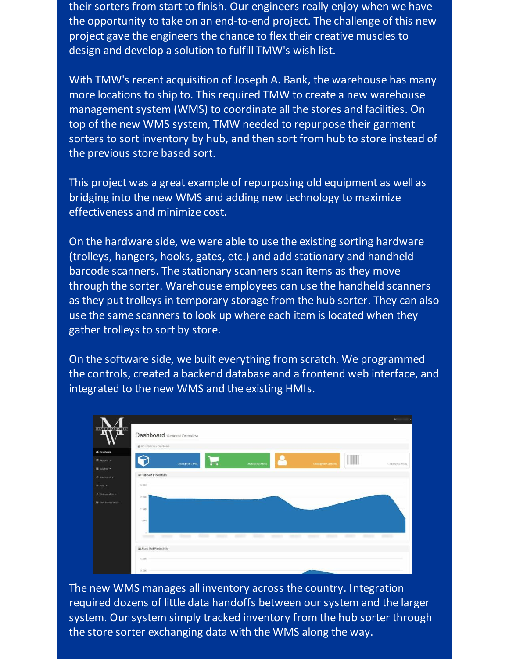their sorters from start to finish. Our engineers really enjoy when we have the opportunity to take on an end-to-end project. The challenge of this new project gave the engineers the chance to flex their creative muscles to design and develop a solution to fulfill TMW's wish list.

With TMW's recent acquisition of Joseph A. Bank, the warehouse has many more locations to ship to. This required TMW to create a new warehouse management system (WMS) to coordinate all the stores and facilities. On top of the new WMS system, TMW needed to repurpose their garment sorters to sort inventory by hub, and then sort from hub to store instead of the previous store based sort.

This project was a great example of repurposing old equipment as well as bridging into the new WMS and adding new technology to maximize effectiveness and minimize cost.

On the hardware side, we were able to use the existing sorting hardware (trolleys, hangers, hooks, gates, etc.) and add stationary and handheld barcode scanners. The stationary scanners scan items as they move through the sorter. Warehouse employees can use the handheld scanners as they put trolleys in temporary storage from the hub sorter. They can also use the same scanners to look up where each item is located when they gather trolleys to sort by store.

On the software side, we built everything from scratch. We programmed the controls, created a backend database and a frontend web interface, and integrated to the new WMS and the existing HMIs.



The new WMS manages all inventory across the country. Integration required dozens of little data handoffs between our system and the larger system. Our system simply tracked inventory from the hub sorter through the store sorter exchanging data with the WMS along the way.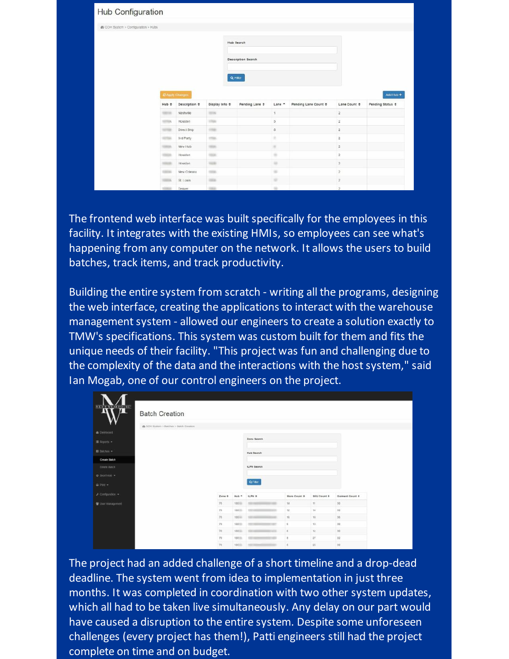| Hub Configuration                    |                 |                    |                    |                           |                         |                      |                         |                       |
|--------------------------------------|-----------------|--------------------|--------------------|---------------------------|-------------------------|----------------------|-------------------------|-----------------------|
| de GOH System > Configuration > Hubs |                 |                    |                    |                           |                         |                      |                         |                       |
|                                      |                 |                    |                    | <b>Hub Search</b>         |                         |                      |                         |                       |
|                                      |                 |                    |                    | <b>Description Search</b> |                         |                      |                         |                       |
|                                      |                 |                    |                    |                           |                         |                      |                         |                       |
|                                      |                 |                    |                    | Q Filter                  |                         |                      |                         |                       |
|                                      | 2 Apply Changes |                    |                    |                           |                         |                      |                         | Add Hub +             |
|                                      | Hub ¢           | Description $\div$ | Display Info $\pm$ | Pending Lane $\hat{\tau}$ | Lane -                  | Pending Lane Count + | Lane Count #            | Pending Status $\div$ |
|                                      | <b>CARD AND</b> | Nashvile           | <b>SECON</b>       |                           | $\mathbf{1}$            |                      | $\mathbf{2}$            |                       |
|                                      | status.         | Houston            | <b>USA</b>         |                           | $\overline{\mathbf{3}}$ |                      | $\overline{\mathbf{2}}$ |                       |
|                                      | <b>STAR</b>     | Direct Ship        | creat-             |                           | 5                       |                      | $\sqrt{2}$              |                       |
|                                      | <b>STAR</b>     | 3rd Party          | 175m               |                           | ٠                       |                      | $\sqrt{2}$              |                       |
|                                      | <b>URICA</b>    | New Hub            | tatas.             |                           | $\sim$                  |                      | $\sqrt{2}$              |                       |
|                                      | <b>COLOR</b>    | Houston            | <b>Hall</b>        |                           | $\equiv$                |                      | $\bar{2}$               |                       |
|                                      | <b>STATE</b>    | Houston            | <b>Hard</b>        |                           | $\sim$                  |                      | $\overline{2}$          |                       |
|                                      | <b>CARDS</b>    | New Orleans        | torna.             |                           | $\equiv$                |                      | $\overline{\mathbf{2}}$ |                       |
|                                      | <b>COLOR</b>    | St Louis           | <b>HEAT</b>        |                           | ×                       |                      | $\bar{2}$               |                       |
|                                      |                 | Denver             | <b>TANK</b>        |                           | $\overline{a}$          |                      | $\alpha$                |                       |

The frontend web interface was built specifically for the employees in this facility. It integrates with the existing HMIs, so employees can see what's happening from any computer on the network. It allows the users to build batches, track items, and track productivity.

Building the entire system from scratch - writing all the programs, designing the web interface, creating the applications to interact with the warehouse management system - allowed our engineers to create a solution exactly to TMW's specifications. This system was custom built for them and fits the unique needs of their facility. "This project was fun and challenging due to the complexity of the data and the interactions with the host system," said Ian Mogab, one of our control engineers on the project.

| Kn                      | <b>Batch Creation</b>                   |        |                |                |                          |                         |                   |  |
|-------------------------|-----------------------------------------|--------|----------------|----------------|--------------------------|-------------------------|-------------------|--|
|                         | @ COH Bystem + Batches + Batch Creature |        |                |                |                          |                         |                   |  |
| a Dashboard             |                                         |        |                |                |                          |                         |                   |  |
| $\equiv$ Reports $\sim$ |                                         |        |                | Zone Search    |                          |                         |                   |  |
| Bibliches +             |                                         |        |                | Hub Search     |                          |                         |                   |  |
| <b>Create Batch</b>     |                                         |        |                |                |                          |                         |                   |  |
| Defete Batch            |                                         |        |                | tLPN Search    |                          |                         |                   |  |
| $0.5001V010 =$          |                                         |        |                |                |                          |                         |                   |  |
| $@$ PHK $+$             |                                         |        |                | <b>Q.Fiter</b> |                          |                         |                   |  |
| $F$ Configuration $-$   |                                         | Zone ¢ | $Hub$ $-$      | <b>ILPN 0</b>  | <b>Store Count &amp;</b> | SKU Count &             | Garment Count ¢   |  |
| User Management         |                                         | 76     | <b>100 III</b> |                | 14                       | $^{\dagger}$            | 30                |  |
|                         |                                         | 78     | toolin         |                | 12                       | 14                      | $30$              |  |
|                         |                                         | 76.    | 100 mm         | ۰              | 16                       | 18:                     | 36                |  |
|                         |                                         | 78     | 10050          | ÷              | $\tilde{n}$              | 13                      | 30                |  |
|                         |                                         | 78     | $100 -$        | ÷              | $\mathbf 6$              | $\mathbb{1} \mathbb{1}$ | $\boldsymbol{90}$ |  |
|                         |                                         |        |                |                |                          |                         |                   |  |
|                         |                                         | 78     | 10059.         | ÷              | 5                        | $27\,$                  | $32\,$            |  |

The project had an added challenge of a short timeline and a drop-dead deadline. The system went from idea to implementation in just three months. It was completed in coordination with two other system updates, which all had to be taken live simultaneously. Any delay on our part would have caused a disruption to the entire system. Despite some unforeseen challenges (every project has them!), Patti engineers still had the project complete on time and on budget.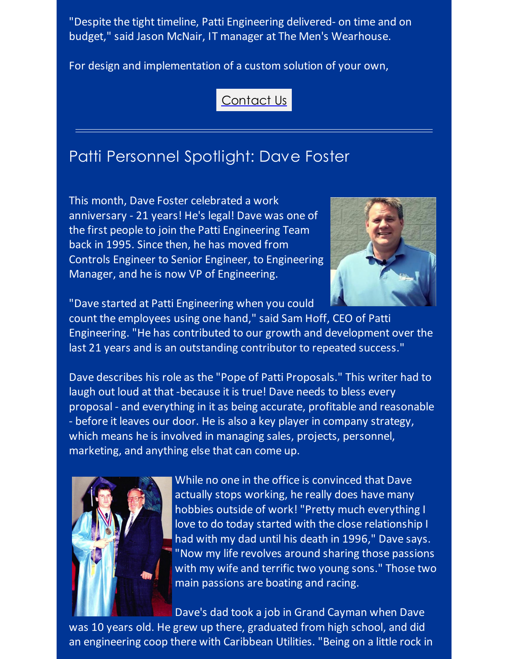"Despite the tight timeline, Patti Engineering delivered- on time and on budget," said Jason McNair, IT manager at The Men's Wearhouse.

For design and implementation of a custom solution of your own,

[Contact](http://pattiengineering.com/contact/?utm_source=Patti+Perspective_April_2016&utm_campaign=Newsletter+April+2016&utm_medium=email) Us

### Patti Personnel Spotlight: Dave Foster

This month, Dave Foster celebrated a work anniversary - 21 years! He's legal! Dave was one of the first people to join the Patti Engineering Team back in 1995. Since then, he has moved from Controls Engineer to Senior Engineer, to Engineering Manager, and he is now VP of Engineering.



"Dave started at Patti Engineering when you could

count the employees using one hand," said Sam Hoff, CEO of Patti Engineering. "He has contributed to our growth and development over the last 21 years and is an outstanding contributor to repeated success."

Dave describes his role as the "Pope of Patti Proposals." This writer had to laugh out loud at that -because it is true! Dave needs to bless every proposal - and everything in it as being accurate, profitable and reasonable - before it leaves our door. He is also a key player in company strategy, which means he is involved in managing sales, projects, personnel, marketing, and anything else that can come up.



While no one in the office is convinced that Dave actually stops working, he really does have many hobbies outside of work! "Pretty much everything I love to do today started with the close relationship I had with my dad until his death in 1996," Dave says. "Now my life revolves around sharing those passions with my wife and terrific two young sons." Those two main passions are boating and racing.

Dave's dad took a job in Grand Cayman when Dave was 10 years old. He grew up there, graduated from high school, and did an engineering coop there with Caribbean Utilities. "Being on a little rock in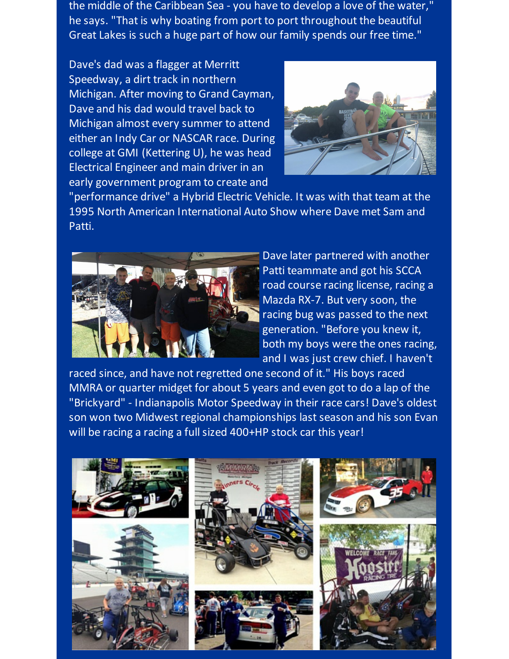the middle of the Caribbean Sea - you have to develop a love of the water," he says. "That is why boating from port to port throughout the beautiful Great Lakes is such a huge part of how our family spends our free time."

Dave's dad was a flagger at Merritt Speedway, a dirt track in northern Michigan. After moving to Grand Cayman, Dave and his dad would travel back to Michigan almost every summer to attend either an Indy Car or NASCAR race. During college at GMI (Kettering U), he was head Electrical Engineer and main driver in an early government program to create and



"performance drive" a Hybrid Electric Vehicle. It was with that team at the 1995 North American International Auto Show where Dave met Sam and Patti.



Dave later partnered with another Patti teammate and got his SCCA road course racing license, racing a Mazda RX-7. But very soon, the racing bug was passed to the next generation. "Before you knew it, both my boys were the ones racing, and I was just crew chief. I haven't

raced since, and have not regretted one second of it." His boys raced MMRA or quarter midget for about 5 years and even got to do a lap of the "Brickyard" - Indianapolis Motor Speedway in their race cars! Dave's oldest son won two Midwest regional championships last season and his son Evan will be racing a racing a full sized 400+HP stock car this year!

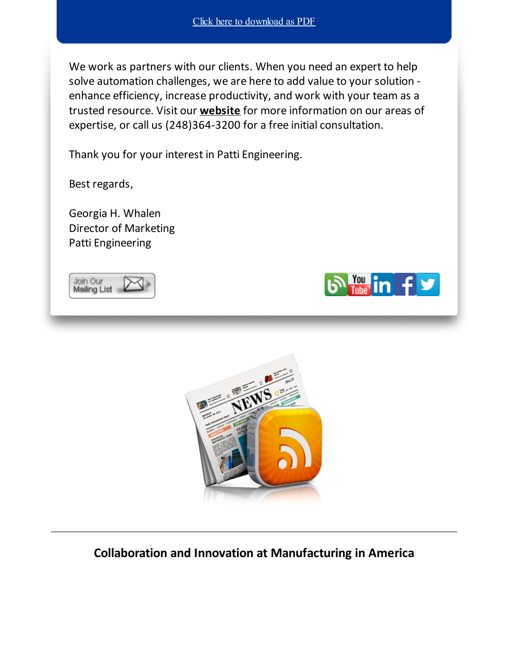We work as partners with our clients. When you need an expert to help solve automation challenges, we are here to add value to your solution enhance efficiency, increase productivity, and work with your team as a trusted resource. Visit our **[website](http://www.pattieng.com/?utm_source=Patti+Perspective_April_2016&utm_campaign=Newsletter+April+2016&utm_medium=email)** for more information on our areas of expertise, or call us (248)364-3200 for a free initial consultation.

Thank you for your interest in Patti Engineering.

Best regards,

Georgia H. Whalen Director of Marketing Patti Engineering







**Collaboration and Innovation at Manufacturing in America**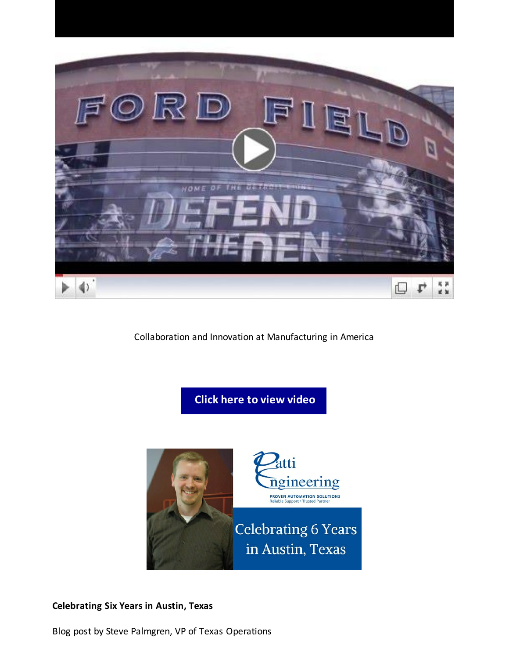

Collaboration and Innovation at Manufacturing in America





#### **Celebrating Six Years in Austin, Texas**

Blog post by Steve Palmgren, VP of Texas Operations